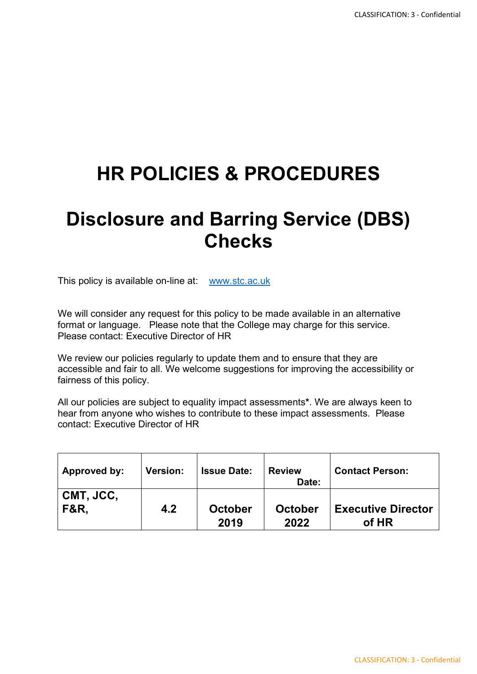# **HR POLICIES & PROCEDURES**

## **Disclosure and Barring Service (DBS) Checks**

This policy is available on-line at: [www.stc.ac.uk](http://www.stc.ac.uk/)

We will consider any request for this policy to be made available in an alternative format or language. Please note that the College may charge for this service. Please contact: Executive Director of HR

We review our policies regularly to update them and to ensure that they are accessible and fair to all. We welcome suggestions for improving the accessibility or fairness of this policy.

All our policies are subject to equality impact assessments**\***. We are always keen to hear from anyone who wishes to contribute to these impact assessments. Please contact: Executive Director of HR

| Approved by:    | <b>Version:</b> | <b>Issue Date:</b> | <b>Review</b><br>Date: | <b>Contact Person:</b>    |
|-----------------|-----------------|--------------------|------------------------|---------------------------|
| CMT, JCC,       | 4.2             | <b>October</b>     | <b>October</b>         | <b>Executive Director</b> |
| <b>F&amp;R.</b> |                 | 2019               | 2022                   | of HR                     |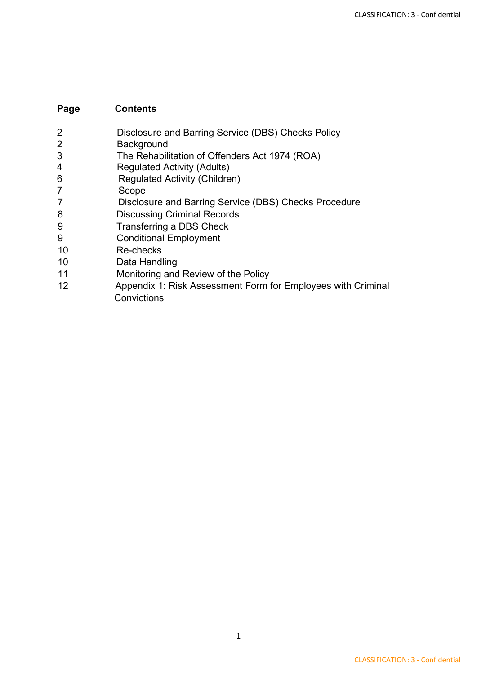#### **Page Contents**

- 2 Disclosure and Barring Service (DBS) Checks Policy
- 2 Background
- 3 The Rehabilitation of Offenders Act 1974 (ROA)
- 4 Regulated Activity (Adults)
- 6 Regulated Activity (Children)
- 7 Scope
- 7 Disclosure and Barring Service (DBS) Checks Procedure
- 8 Discussing Criminal Records
- 9 Transferring a DBS Check
- 9 Conditional Employment
- 10 Re-checks
- 10 Data Handling
- 11 Monitoring and Review of the Policy
- 12 Appendix 1: Risk Assessment Form for Employees with Criminal **Convictions**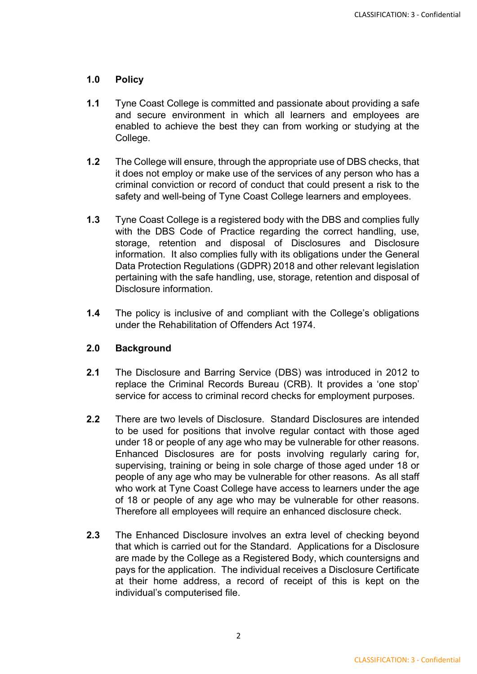#### **1.0 Policy**

- **1.1** Tyne Coast College is committed and passionate about providing a safe and secure environment in which all learners and employees are enabled to achieve the best they can from working or studying at the College.
- **1.2** The College will ensure, through the appropriate use of DBS checks, that it does not employ or make use of the services of any person who has a criminal conviction or record of conduct that could present a risk to the safety and well-being of Tyne Coast College learners and employees.
- **1.3** Tyne Coast College is a registered body with the DBS and complies fully with the DBS Code of Practice regarding the correct handling, use, storage, retention and disposal of Disclosures and Disclosure information. It also complies fully with its obligations under the General Data Protection Regulations (GDPR) 2018 and other relevant legislation pertaining with the safe handling, use, storage, retention and disposal of Disclosure information.
- **1.4** The policy is inclusive of and compliant with the College's obligations under the Rehabilitation of Offenders Act 1974.

#### **2.0 Background**

- **2.1** The Disclosure and Barring Service (DBS) was introduced in 2012 to replace the Criminal Records Bureau (CRB). It provides a 'one stop' service for access to criminal record checks for employment purposes.
- **2.2** There are two levels of Disclosure. Standard Disclosures are intended to be used for positions that involve regular contact with those aged under 18 or people of any age who may be vulnerable for other reasons. Enhanced Disclosures are for posts involving regularly caring for, supervising, training or being in sole charge of those aged under 18 or people of any age who may be vulnerable for other reasons. As all staff who work at Tyne Coast College have access to learners under the age of 18 or people of any age who may be vulnerable for other reasons. Therefore all employees will require an enhanced disclosure check.
- **2.3** The Enhanced Disclosure involves an extra level of checking beyond that which is carried out for the Standard. Applications for a Disclosure are made by the College as a Registered Body, which countersigns and pays for the application. The individual receives a Disclosure Certificate at their home address, a record of receipt of this is kept on the individual's computerised file.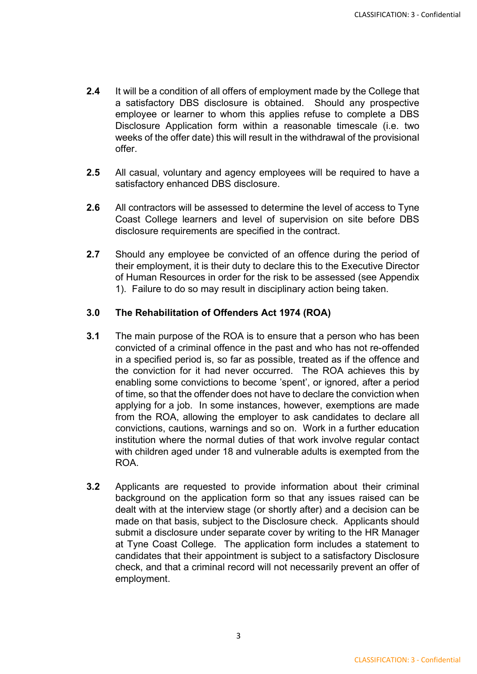- **2.4** It will be a condition of all offers of employment made by the College that a satisfactory DBS disclosure is obtained. Should any prospective employee or learner to whom this applies refuse to complete a DBS Disclosure Application form within a reasonable timescale (i.e. two weeks of the offer date) this will result in the withdrawal of the provisional offer.
- **2.5** All casual, voluntary and agency employees will be required to have a satisfactory enhanced DBS disclosure.
- **2.6** All contractors will be assessed to determine the level of access to Tyne Coast College learners and level of supervision on site before DBS disclosure requirements are specified in the contract.
- **2.7** Should any employee be convicted of an offence during the period of their employment, it is their duty to declare this to the Executive Director of Human Resources in order for the risk to be assessed (see Appendix 1). Failure to do so may result in disciplinary action being taken.

#### **3.0 The Rehabilitation of Offenders Act 1974 (ROA)**

- **3.1** The main purpose of the ROA is to ensure that a person who has been convicted of a criminal offence in the past and who has not re-offended in a specified period is, so far as possible, treated as if the offence and the conviction for it had never occurred. The ROA achieves this by enabling some convictions to become 'spent', or ignored, after a period of time, so that the offender does not have to declare the conviction when applying for a job. In some instances, however, exemptions are made from the ROA, allowing the employer to ask candidates to declare all convictions, cautions, warnings and so on. Work in a further education institution where the normal duties of that work involve regular contact with children aged under 18 and vulnerable adults is exempted from the ROA.
- **3.2** Applicants are requested to provide information about their criminal background on the application form so that any issues raised can be dealt with at the interview stage (or shortly after) and a decision can be made on that basis, subject to the Disclosure check. Applicants should submit a disclosure under separate cover by writing to the HR Manager at Tyne Coast College. The application form includes a statement to candidates that their appointment is subject to a satisfactory Disclosure check, and that a criminal record will not necessarily prevent an offer of employment.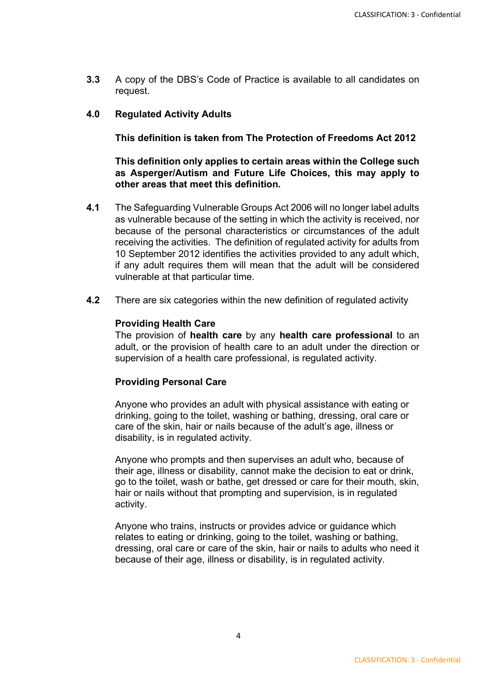**3.3** A copy of the DBS's Code of Practice is available to all candidates on request.

#### **4.0 Regulated Activity Adults**

**This definition is taken from The Protection of Freedoms Act 2012**

**This definition only applies to certain areas within the College such as Asperger/Autism and Future Life Choices, this may apply to other areas that meet this definition.**

- **4.1** The Safeguarding Vulnerable Groups Act 2006 will no longer label adults as vulnerable because of the setting in which the activity is received, nor because of the personal characteristics or circumstances of the adult receiving the activities. The definition of regulated activity for adults from 10 September 2012 identifies the activities provided to any adult which, if any adult requires them will mean that the adult will be considered vulnerable at that particular time.
- **4.2** There are six categories within the new definition of regulated activity

#### **Providing Health Care**

The provision of **health care** by any **health care professional** to an adult, or the provision of health care to an adult under the direction or supervision of a health care professional, is regulated activity.

#### **Providing Personal Care**

Anyone who provides an adult with physical assistance with eating or drinking, going to the toilet, washing or bathing, dressing, oral care or care of the skin, hair or nails because of the adult's age, illness or disability, is in regulated activity.

Anyone who prompts and then supervises an adult who, because of their age, illness or disability, cannot make the decision to eat or drink, go to the toilet, wash or bathe, get dressed or care for their mouth, skin, hair or nails without that prompting and supervision, is in regulated activity.

Anyone who trains, instructs or provides advice or guidance which relates to eating or drinking, going to the toilet, washing or bathing, dressing, oral care or care of the skin, hair or nails to adults who need it because of their age, illness or disability, is in regulated activity.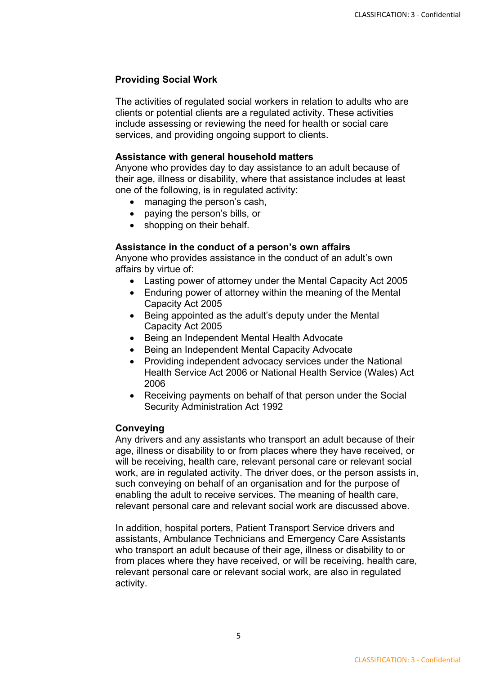#### **Providing Social Work**

The activities of regulated social workers in relation to adults who are clients or potential clients are a regulated activity. These activities include assessing or reviewing the need for health or social care services, and providing ongoing support to clients.

#### **Assistance with general household matters**

Anyone who provides day to day assistance to an adult because of their age, illness or disability, where that assistance includes at least one of the following, is in regulated activity:

- managing the person's cash,
- paying the person's bills, or
- shopping on their behalf.

#### **Assistance in the conduct of a person's own affairs**

Anyone who provides assistance in the conduct of an adult's own affairs by virtue of:

- Lasting power of attorney under the Mental Capacity Act 2005
- Enduring power of attorney within the meaning of the Mental Capacity Act 2005
- Being appointed as the adult's deputy under the Mental Capacity Act 2005
- Being an Independent Mental Health Advocate
- Being an Independent Mental Capacity Advocate
- Providing independent advocacy services under the National Health Service Act 2006 or National Health Service (Wales) Act 2006
- Receiving payments on behalf of that person under the Social Security Administration Act 1992

#### **Conveying**

Any drivers and any assistants who transport an adult because of their age, illness or disability to or from places where they have received, or will be receiving, health care, relevant personal care or relevant social work, are in regulated activity. The driver does, or the person assists in, such conveying on behalf of an organisation and for the purpose of enabling the adult to receive services. The meaning of health care, relevant personal care and relevant social work are discussed above.

In addition, hospital porters, Patient Transport Service drivers and assistants, Ambulance Technicians and Emergency Care Assistants who transport an adult because of their age, illness or disability to or from places where they have received, or will be receiving, health care, relevant personal care or relevant social work, are also in regulated activity.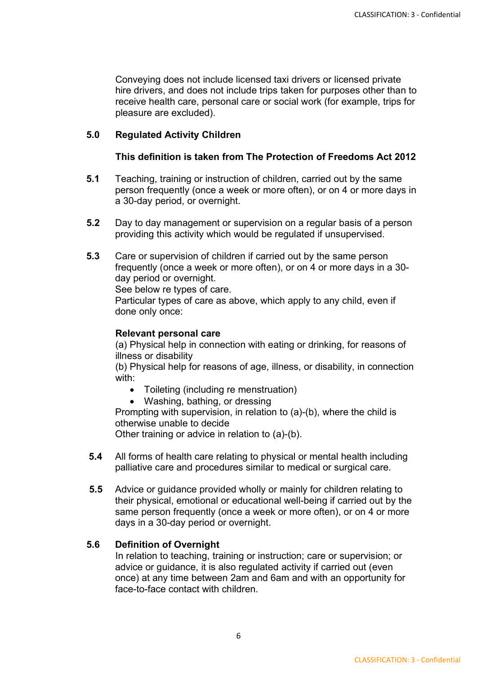Conveying does not include licensed taxi drivers or licensed private hire drivers, and does not include trips taken for purposes other than to receive health care, personal care or social work (for example, trips for pleasure are excluded).

#### **5.0 Regulated Activity Children**

#### **This definition is taken from The Protection of Freedoms Act 2012**

- **5.1** Teaching, training or instruction of children, carried out by the same person frequently (once a week or more often), or on 4 or more days in a 30-day period, or overnight.
- **5.2** Day to day management or supervision on a regular basis of a person providing this activity which would be regulated if unsupervised.
- **5.3** Care or supervision of children if carried out by the same person frequently (once a week or more often), or on 4 or more days in a 30 day period or overnight.

See below re types of care.

Particular types of care as above, which apply to any child, even if done only once:

#### **Relevant personal care**

(a) Physical help in connection with eating or drinking, for reasons of illness or disability

(b) Physical help for reasons of age, illness, or disability, in connection with:

- Toileting (including re menstruation)
- Washing, bathing, or dressing

Prompting with supervision, in relation to (a)-(b), where the child is otherwise unable to decide

Other training or advice in relation to (a)-(b).

- **5.4** All forms of health care relating to physical or mental health including palliative care and procedures similar to medical or surgical care.
- **5.5** Advice or guidance provided wholly or mainly for children relating to their physical, emotional or educational well-being if carried out by the same person frequently (once a week or more often), or on 4 or more days in a 30-day period or overnight.

#### **5.6 Definition of Overnight**

In relation to teaching, training or instruction; care or supervision; or advice or guidance, it is also regulated activity if carried out (even once) at any time between 2am and 6am and with an opportunity for face-to-face contact with children.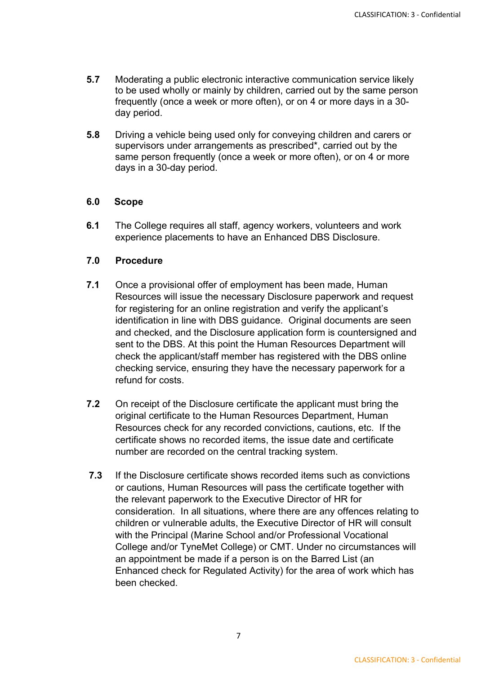- **5.7** Moderating a public electronic interactive communication service likely to be used wholly or mainly by children, carried out by the same person frequently (once a week or more often), or on 4 or more days in a 30 day period.
- **5.8** Driving a vehicle being used only for conveying children and carers or supervisors under arrangements as prescribed\*, carried out by the same person frequently (once a week or more often), or on 4 or more days in a 30-day period.

#### **6.0 Scope**

**6.1** The College requires all staff, agency workers, volunteers and work experience placements to have an Enhanced DBS Disclosure.

#### **7.0 Procedure**

- **7.1** Once a provisional offer of employment has been made, Human Resources will issue the necessary Disclosure paperwork and request for registering for an online registration and verify the applicant's identification in line with DBS guidance. Original documents are seen and checked, and the Disclosure application form is countersigned and sent to the DBS. At this point the Human Resources Department will check the applicant/staff member has registered with the DBS online checking service, ensuring they have the necessary paperwork for a refund for costs.
- **7.2** On receipt of the Disclosure certificate the applicant must bring the original certificate to the Human Resources Department, Human Resources check for any recorded convictions, cautions, etc. If the certificate shows no recorded items, the issue date and certificate number are recorded on the central tracking system.
- **7.3** If the Disclosure certificate shows recorded items such as convictions or cautions, Human Resources will pass the certificate together with the relevant paperwork to the Executive Director of HR for consideration. In all situations, where there are any offences relating to children or vulnerable adults, the Executive Director of HR will consult with the Principal (Marine School and/or Professional Vocational College and/or TyneMet College) or CMT. Under no circumstances will an appointment be made if a person is on the Barred List (an Enhanced check for Regulated Activity) for the area of work which has been checked.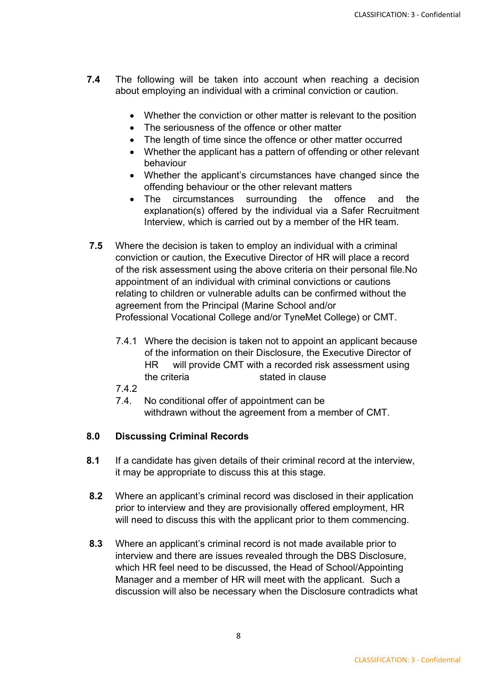- **7.4** The following will be taken into account when reaching a decision about employing an individual with a criminal conviction or caution.
	- Whether the conviction or other matter is relevant to the position
	- The seriousness of the offence or other matter
	- The length of time since the offence or other matter occurred
	- Whether the applicant has a pattern of offending or other relevant behaviour
	- Whether the applicant's circumstances have changed since the offending behaviour or the other relevant matters
	- The circumstances surrounding the offence and the explanation(s) offered by the individual via a Safer Recruitment Interview, which is carried out by a member of the HR team.
- **7.5** Where the decision is taken to employ an individual with a criminal conviction or caution, the Executive Director of HR will place a record of the risk assessment using the above criteria on their personal file.No appointment of an individual with criminal convictions or cautions relating to children or vulnerable adults can be confirmed without the agreement from the Principal (Marine School and/or Professional Vocational College and/or TyneMet College) or CMT.
	- 7.4.1 Where the decision is taken not to appoint an applicant because of the information on their Disclosure, the Executive Director of HR will provide CMT with a recorded risk assessment using the criteria stated in clause
	- 7.4.2
	- 7.4. No conditional offer of appointment can be withdrawn without the agreement from a member of CMT.

#### **8.0 Discussing Criminal Records**

- **8.1** If a candidate has given details of their criminal record at the interview, it may be appropriate to discuss this at this stage.
- **8.2** Where an applicant's criminal record was disclosed in their application prior to interview and they are provisionally offered employment, HR will need to discuss this with the applicant prior to them commencing.
- **8.3** Where an applicant's criminal record is not made available prior to interview and there are issues revealed through the DBS Disclosure, which HR feel need to be discussed, the Head of School/Appointing Manager and a member of HR will meet with the applicant. Such a discussion will also be necessary when the Disclosure contradicts what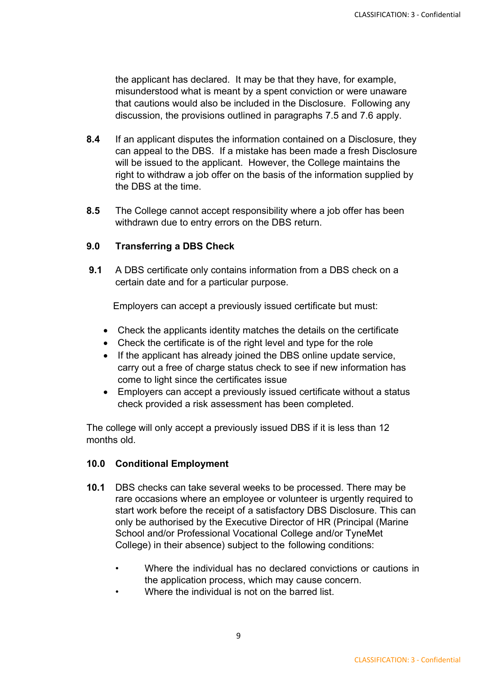the applicant has declared. It may be that they have, for example, misunderstood what is meant by a spent conviction or were unaware that cautions would also be included in the Disclosure. Following any discussion, the provisions outlined in paragraphs 7.5 and 7.6 apply.

- **8.4** If an applicant disputes the information contained on a Disclosure, they can appeal to the DBS. If a mistake has been made a fresh Disclosure will be issued to the applicant. However, the College maintains the right to withdraw a job offer on the basis of the information supplied by the DBS at the time.
- **8.5** The College cannot accept responsibility where a job offer has been withdrawn due to entry errors on the DBS return.

#### **9.0 Transferring a DBS Check**

**9.1** A DBS certificate only contains information from a DBS check on a certain date and for a particular purpose.

Employers can accept a previously issued certificate but must:

- Check the applicants identity matches the details on the certificate
- Check the certificate is of the right level and type for the role
- If the applicant has already joined the DBS online update service, carry out a free of charge status check to see if new information has come to light since the certificates issue
- Employers can accept a previously issued certificate without a status check provided a risk assessment has been completed.

The college will only accept a previously issued DBS if it is less than 12 months old.

#### **10.0 Conditional Employment**

- **10.1** DBS checks can take several weeks to be processed. There may be rare occasions where an employee or volunteer is urgently required to start work before the receipt of a satisfactory DBS Disclosure. This can only be authorised by the Executive Director of HR (Principal (Marine School and/or Professional Vocational College and/or TyneMet College) in their absence) subject to the following conditions:
	- Where the individual has no declared convictions or cautions in the application process, which may cause concern.
	- Where the individual is not on the barred list.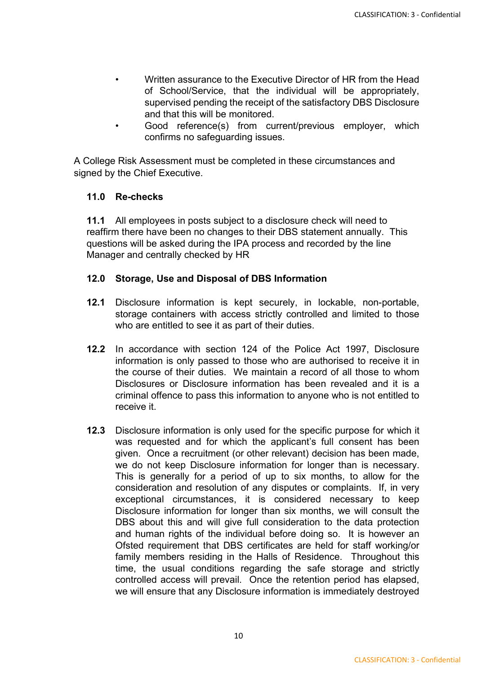- Written assurance to the Executive Director of HR from the Head of School/Service, that the individual will be appropriately, supervised pending the receipt of the satisfactory DBS Disclosure and that this will be monitored.
- Good reference(s) from current/previous employer, which confirms no safeguarding issues.

A College Risk Assessment must be completed in these circumstances and signed by the Chief Executive.

#### **11.0 Re-checks**

**11.1** All employees in posts subject to a disclosure check will need to reaffirm there have been no changes to their DBS statement annually. This questions will be asked during the IPA process and recorded by the line Manager and centrally checked by HR

#### **12.0 Storage, Use and Disposal of DBS Information**

- **12.1** Disclosure information is kept securely, in lockable, non-portable, storage containers with access strictly controlled and limited to those who are entitled to see it as part of their duties.
- **12.2** In accordance with section 124 of the Police Act 1997, Disclosure information is only passed to those who are authorised to receive it in the course of their duties. We maintain a record of all those to whom Disclosures or Disclosure information has been revealed and it is a criminal offence to pass this information to anyone who is not entitled to receive it.
- **12.3** Disclosure information is only used for the specific purpose for which it was requested and for which the applicant's full consent has been given. Once a recruitment (or other relevant) decision has been made, we do not keep Disclosure information for longer than is necessary. This is generally for a period of up to six months, to allow for the consideration and resolution of any disputes or complaints. If, in very exceptional circumstances, it is considered necessary to keep Disclosure information for longer than six months, we will consult the DBS about this and will give full consideration to the data protection and human rights of the individual before doing so. It is however an Ofsted requirement that DBS certificates are held for staff working/or family members residing in the Halls of Residence. Throughout this time, the usual conditions regarding the safe storage and strictly controlled access will prevail. Once the retention period has elapsed, we will ensure that any Disclosure information is immediately destroyed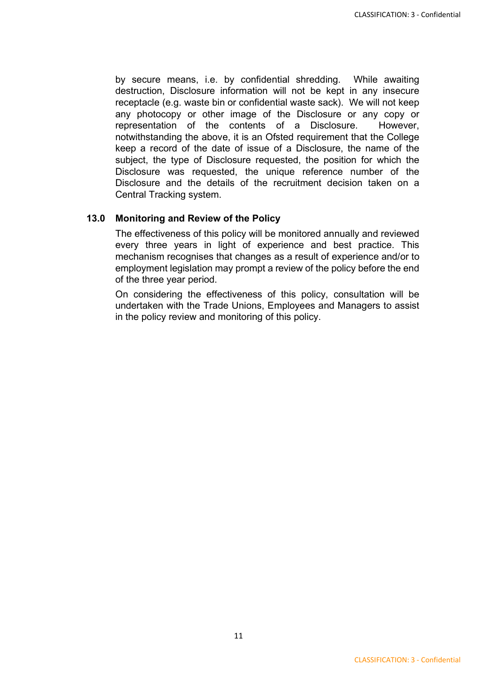by secure means, i.e. by confidential shredding. While awaiting destruction, Disclosure information will not be kept in any insecure receptacle (e.g. waste bin or confidential waste sack). We will not keep any photocopy or other image of the Disclosure or any copy or representation of the contents of a Disclosure. However, notwithstanding the above, it is an Ofsted requirement that the College keep a record of the date of issue of a Disclosure, the name of the subject, the type of Disclosure requested, the position for which the Disclosure was requested, the unique reference number of the Disclosure and the details of the recruitment decision taken on a Central Tracking system.

#### **13.0 Monitoring and Review of the Policy**

The effectiveness of this policy will be monitored annually and reviewed every three years in light of experience and best practice. This mechanism recognises that changes as a result of experience and/or to employment legislation may prompt a review of the policy before the end of the three year period.

On considering the effectiveness of this policy, consultation will be undertaken with the Trade Unions, Employees and Managers to assist in the policy review and monitoring of this policy.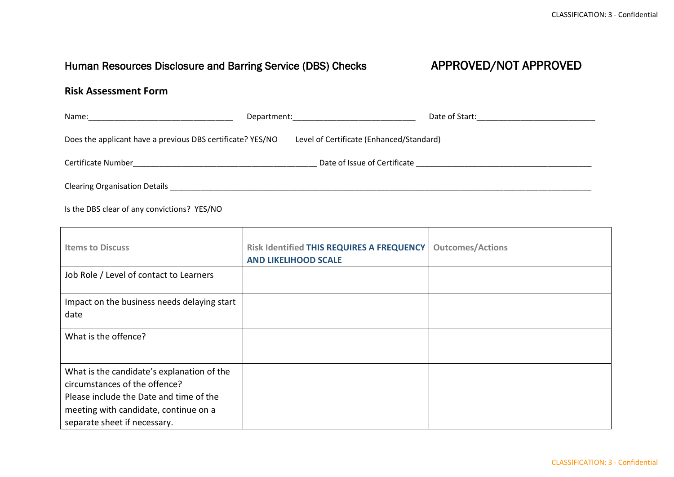### Human Resources Disclosure and Barring Service (DBS) Checks APPROVED/NOT APPROVED

### **Risk Assessment Form**

| Name:<br><u> 1980 - John Stein, Amerikaans en beskriuw om de foarmen in de foarmen in de foarmen in de foarmen in de foarm</u> | Date of Start:<br>Department: National Contract of the Contract of the Contract of the Contract of the Contract of the Contract of the Contract of the Contract of the Contract of the Contract of the Contract of the Contract of the Contract<br>the control of the control of the control of the control of the control of the control of |
|--------------------------------------------------------------------------------------------------------------------------------|----------------------------------------------------------------------------------------------------------------------------------------------------------------------------------------------------------------------------------------------------------------------------------------------------------------------------------------------|
| Does the applicant have a previous DBS certificate? YES/NO                                                                     | Level of Certificate (Enhanced/Standard)                                                                                                                                                                                                                                                                                                     |
| Certificate Number                                                                                                             | Date of Issue of Certificate                                                                                                                                                                                                                                                                                                                 |
| <b>Clearing Organisation Details</b>                                                                                           |                                                                                                                                                                                                                                                                                                                                              |

Is the DBS clear of any convictions? YES/NO

| <b>Items to Discuss</b>                                                                                                                                                                         | Risk Identified THIS REQUIRES A FREQUENCY<br><b>AND LIKELIHOOD SCALE</b> | <b>Outcomes/Actions</b> |
|-------------------------------------------------------------------------------------------------------------------------------------------------------------------------------------------------|--------------------------------------------------------------------------|-------------------------|
| Job Role / Level of contact to Learners                                                                                                                                                         |                                                                          |                         |
| Impact on the business needs delaying start<br>date                                                                                                                                             |                                                                          |                         |
| What is the offence?                                                                                                                                                                            |                                                                          |                         |
| What is the candidate's explanation of the<br>circumstances of the offence?<br>Please include the Date and time of the<br>meeting with candidate, continue on a<br>separate sheet if necessary. |                                                                          |                         |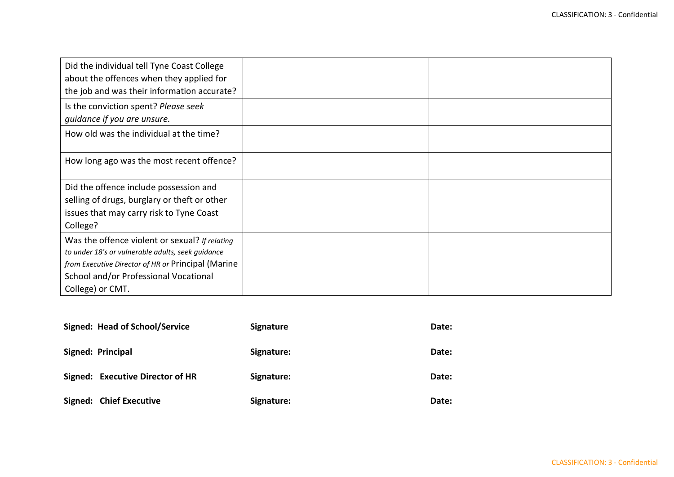| Did the individual tell Tyne Coast College<br>about the offences when they applied for<br>the job and was their information accurate?                                                                                  |  |
|------------------------------------------------------------------------------------------------------------------------------------------------------------------------------------------------------------------------|--|
| Is the conviction spent? Please seek<br>guidance if you are unsure.                                                                                                                                                    |  |
| How old was the individual at the time?                                                                                                                                                                                |  |
| How long ago was the most recent offence?                                                                                                                                                                              |  |
| Did the offence include possession and<br>selling of drugs, burglary or theft or other<br>issues that may carry risk to Tyne Coast<br>College?                                                                         |  |
| Was the offence violent or sexual? If relating<br>to under 18's or vulnerable adults, seek guidance<br>from Executive Director of HR or Principal (Marine<br>School and/or Professional Vocational<br>College) or CMT. |  |

| <b>Signed: Head of School/Service</b> | <b>Signature</b> | Date: |
|---------------------------------------|------------------|-------|
| <b>Signed: Principal</b>              | Signature:       | Date: |
| Signed: Executive Director of HR      | Signature:       | Date: |
| <b>Signed: Chief Executive</b>        | Signature:       | Date: |